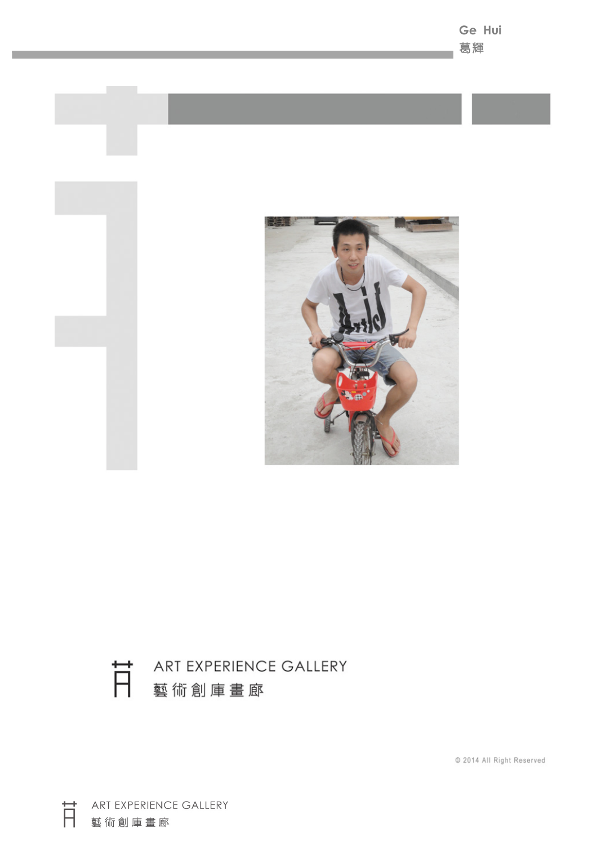



© 2014 All Right Reserved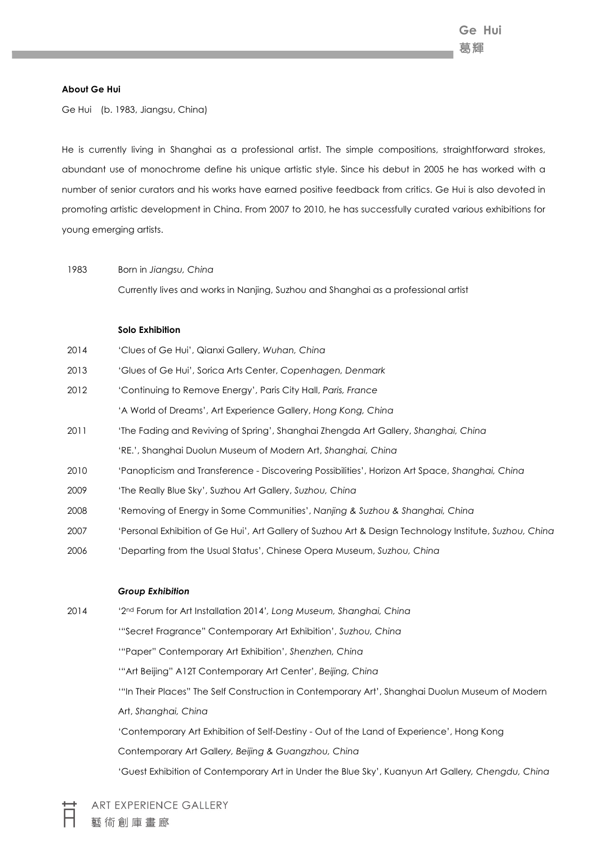#### **About Ge Hui**

Ge Hui (b. 1983, Jiangsu, China)

He is currently living in Shanghai as a professional artist. The simple compositions, straightforward strokes, abundant use of monochrome define his unique artistic style. Since his debut in 2005 he has worked with a number of senior curators and his works have earned positive feedback from critics. Ge Hui is also devoted in promoting artistic development in China. From 2007 to 2010, he has successfully curated various exhibitions for young emerging artists.

# 1983 Born in *Jiangsu, China*

Currently lives and works in Nanjing, Suzhou and Shanghai as a professional artist

## **Solo Exhibition**

| 2014 | 'Clues of Ge Hui', Qianxi Gallery, Wuhan, China |  |
|------|-------------------------------------------------|--|
|------|-------------------------------------------------|--|

- 2013 'Glues of Ge Hui', Sorica Arts Center, *Copenhagen, Denmark*
- 2012 'Continuing to Remove Energy', Paris City Hall, *Paris, France* 'A World of Dreams', Art Experience Gallery, *Hong Kong, China*
- 2011 'The Fading and Reviving of Spring', Shanghai Zhengda Art Gallery, *Shanghai, China* 'RE.', Shanghai Duolun Museum of Modern Art, *Shanghai, China*
- 2010 'Panopticism and Transference Discovering Possibilities', Horizon Art Space, *Shanghai, China*
- 2009 'The Really Blue Sky', Suzhou Art Gallery, *Suzhou, China*
- 2008 'Removing of Energy in Some Communities', *Nanjing & Suzhou & Shanghai, China*
- 2007 'Personal Exhibition of Ge Hui', Art Gallery of Suzhou Art & Design Technology Institute, *Suzhou, China*
- 2006 'Departing from the Usual Status', Chinese Opera Museum, *Suzhou, China*

#### *Group Exhibition*

2014 '2nd Forum for Art Installation 2014*', Long Museum, Shanghai, China* '"Secret Fragrance" Contemporary Art Exhibition', *Suzhou, China* '"Paper" Contemporary Art Exhibition', *Shenzhen, China* '"Art Beijing" A12T Contemporary Art Center', *Beijing, China* '"In Their Places" The Self Construction in Contemporary Art', Shanghai Duolun Museum of Modern Art, *Shanghai, China* 'Contemporary Art Exhibition of Self-Destiny - Out of the Land of Experience', Hong Kong Contemporary Art Galler*y, Beijing & Guangzhou, China* 'Guest Exhibition of Contemporary Art in Under the Blue Sky', Kuanyun Art Gallery*, Chengdu, China*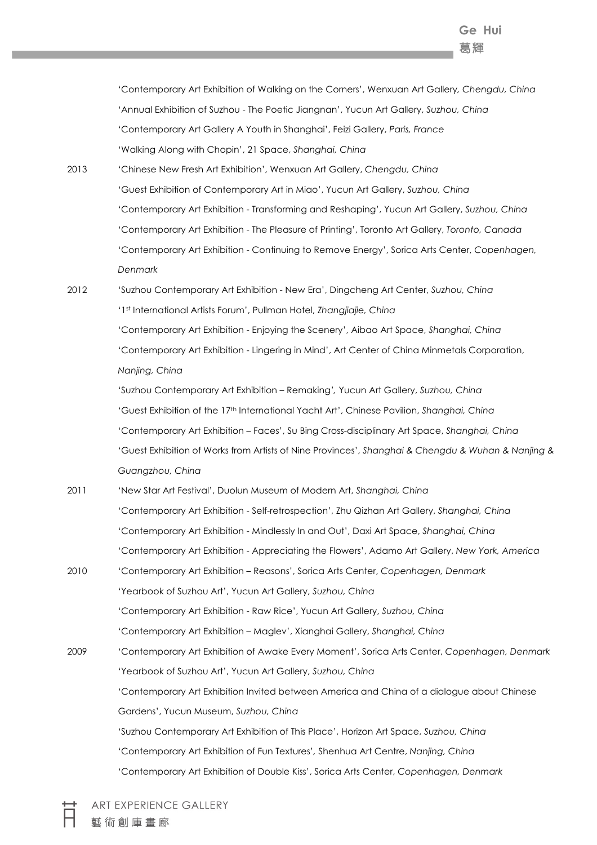'Contemporary Art Exhibition of Walking on the Corners', Wenxuan Art Gallery*, Chengdu, China* 'Annual Exhibition of Suzhou - The Poetic Jiangnan', Yucun Art Gallery, *Suzhou, China* 'Contemporary Art Gallery A Youth in Shanghai', Feizi Gallery, *Paris, France* 'Walking Along with Chopin', 21 Space, *Shanghai, China*

2013 'Chinese New Fresh Art Exhibition', Wenxuan Art Gallery, *Chengdu, China* 'Guest Exhibition of Contemporary Art in Miao', Yucun Art Gallery, *Suzhou, China* 'Contemporary Art Exhibition - Transforming and Reshaping', Yucun Art Gallery, *Suzhou, China* 'Contemporary Art Exhibition - The Pleasure of Printing', Toronto Art Gallery, *Toronto, Canada* 'Contemporary Art Exhibition - Continuing to Remove Energy', Sorica Arts Center, *Copenhagen, Denmark*

2012 'Suzhou Contemporary Art Exhibition - New Era', Dingcheng Art Center, *Suzhou, China* '1st International Artists Forum', Pullman Hotel, *Zhangjiajie, China* 'Contemporary Art Exhibition - Enjoying the Scenery', Aibao Art Space, *Shanghai, China* 'Contemporary Art Exhibition - Lingering in Mind', Art Center of China Minmetals Corporation, *Nanjing, China*

> 'Suzhou Contemporary Art Exhibition – Remaking*',* Yucun Art Gallery, *Suzhou, China* 'Guest Exhibition of the 17th International Yacht Art', Chinese Pavilion, *Shanghai, China* 'Contemporary Art Exhibition – Faces', Su Bing Cross-disciplinary Art Space, *Shanghai, China* 'Guest Exhibition of Works from Artists of Nine Provinces', *Shanghai & Chengdu & Wuhan & Nanjing & Guangzhou, China*

- 2011 'New Star Art Festival', Duolun Museum of Modern Art, *Shanghai, China* 'Contemporary Art Exhibition - Self-retrospection', Zhu Qizhan Art Gallery, *Shanghai, China* 'Contemporary Art Exhibition - Mindlessly In and Out', Daxi Art Space, *Shanghai, China* 'Contemporary Art Exhibition - Appreciating the Flowers', Adamo Art Gallery, *New York, America*
- 2010 'Contemporary Art Exhibition Reasons', Sorica Arts Center, *Copenhagen, Denmark* 'Yearbook of Suzhou Art', Yucun Art Gallery, *Suzhou, China* 'Contemporary Art Exhibition - Raw Rice', Yucun Art Gallery, *Suzhou, China* 'Contemporary Art Exhibition – Maglev', Xianghai Gallery, *Shanghai, China* 2009 'Contemporary Art Exhibition of Awake Every Moment', Sorica Arts Center, *Copenhagen, Denmark* 'Yearbook of Suzhou Art', Yucun Art Gallery, *Suzhou, China* 'Contemporary Art Exhibition Invited between America and China of a dialogue about Chinese

Gardens', Yucun Museum, *Suzhou, China*

'Suzhou Contemporary Art Exhibition of This Place', Horizon Art Space, *Suzhou, China* 'Contemporary Art Exhibition of Fun Textures'*,* Shenhua Art Centre, *Nanjing, China* 'Contemporary Art Exhibition of Double Kiss', Sorica Arts Center, *Copenhagen, Denmark*

ART EXPERIENCE GALLERY 藝術創庫書廊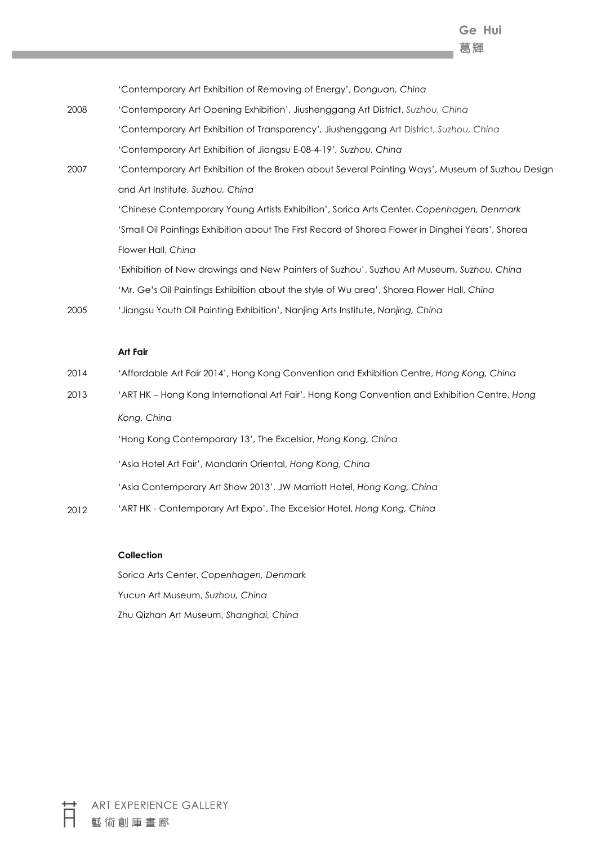**Ge Hui** 葛輝

'Contemporary Art Exhibition of Removing of Energy', *Donguan, China*

- 2008 'Contemporary Art Opening Exhibition', Jiushenggang Art District, *Suzhou, China* 'Contemporary Art Exhibition of Transparency*',* Jiushenggang Art District, *Suzhou, China* 'Contemporary Art Exhibition of Jiangsu E-08-4-19'*, Suzhou, China*
- 2007 'Contemporary Art Exhibition of the Broken about Several Painting Ways', Museum of Suzhou Design and Art Institute, *Suzhou, China* 'Chinese Contemporary Young Artists Exhibition', Sorica Arts Center, *Copenhagen, Denmark*

'Small Oil Paintings Exhibition about The First Record of Shorea Flower in Dinghei Years', Shorea Flower Hall, *China*

'Exhibition of New drawings and New Painters of Suzhou', Suzhou Art Museum, *Suzhou, China* 'Mr. Ge's Oil Paintings Exhibition about the style of Wu area', Shorea Flower Hall, *China*

2005 'Jiangsu Youth Oil Painting Exhibition', Nanjing Arts Institute, *Nanjing, China*

#### **Art Fair**

- 2014 'Affordable Art Fair 2014', Hong Kong Convention and Exhibition Centre, *Hong Kong, China*
- 2013 'ART HK Hong Kong International Art Fair', Hong Kong Convention and Exhibition Centre, *Hong Kong, China*

'Hong Kong Contemporary 13', The Excelsior, *Hong Kong, China*

'Asia Hotel Art Fair', Mandarin Oriental, *Hong Kong, China*

'Asia Contemporary Art Show 2013', JW Marriott Hotel, *Hong Kong, China*

2012 'ART HK - Contemporary Art Expo', The Excelsior Hotel, *Hong Kong, China*

### **Collection**

Sorica Arts Center, *Copenhagen, Denmark* Yucun Art Museum, *Suzhou, China* Zhu Qizhan Art Museum, *Shanghai, China*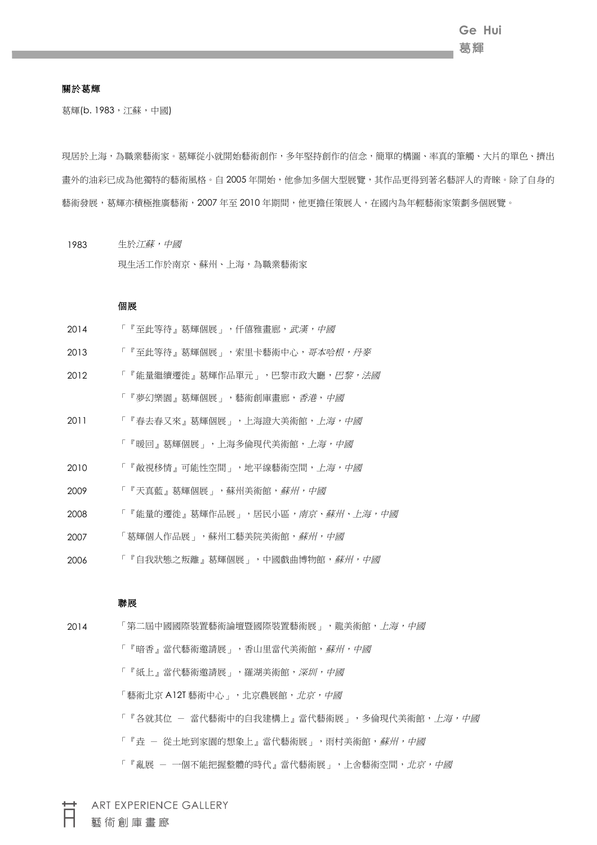# 關於葛輝

葛輝(b. 1983, 江蘇, 中國)

現居於上海,為職業藝術家。葛輝從小就開始藝術創作,多年堅持創作的信念,簡單的構圖、率真的筆觸、大片的單色、擠出 畫外的油彩已成為他獨特的藝術風格。自 2005 年開始,他參加多個大型展覽,其作品更得到著名藝評人的青睞。除了自身的 藝術發展,葛輝亦積極推廣藝術,2007 年至 2010 年期間,他更擔任策展人,在國內為年輕藝術家策劃多個展覽。

1983 生於*江蘇,中國* 現生活工作於南京、蘇州、上海,為職業藝術家

#### 個展

- 2014 「『至此等待』葛輝個展」, 仟僖雅畫廊, 武*漢, 中國*
- 2013 「『至此等待』葛輝個展」,索里卡藝術中心,哥本哈*根,丹麥*
- 2012 「『能量繼續遷徙』葛輝作品單元」,巴黎市政大廳, 巴黎, 法國 「『夢幻樂園』葛輝個展」,藝術創庫畫廊,香港,中國
- 2011 「『春去春又來』葛輝個展」,上海證大美術館,上海,中國 「『暖回』葛輝個展」,上海多倫現代美術館,上海,中國
- 2010 「『敞視移情』可能性空間」,地平線藝術空間,上海,中國
- 2009 「『天真藍』葛輝個展」,蘇州美術館,蘇州,中國
- 2008 「『能量的遷徙』葛輝作品展」,居民小區,南京、蘇州、上海,中國
- 2007 「葛輝個人作品展」,蘇州工藝美院美術館,蘇州,中國
- 2006 「『自我狀態之叛離』葛輝個展」,中國戲曲博物館,蘇州,中國

## 聯展

2014 「第二屆中國國際裝置藝術論壇暨國際裝置藝術展」,龍美術館, F海, 中國 「『暗香』當代藝術邀請展」,香山里當代美術館,蘇州,中國 「『紙上』當代藝術邀請展」,羅湖美術館,深圳,中國 「藝術北京 A12T 藝術中心」,北京農展館,北京,中國 「『各就其位 - 當代藝術中的自我建構上』當代藝術展」,多倫現代美術館,上海,中國 「『垚 - 從土地到家園的想象上』當代藝術展」,雨村美術館,蘇州,中國 「『亂展 - 一個不能把握整體的時代』當代藝術展」,上舍藝術空間,北京,中國

ART EXPERIENCE GALLERY 藝術創庫畫廊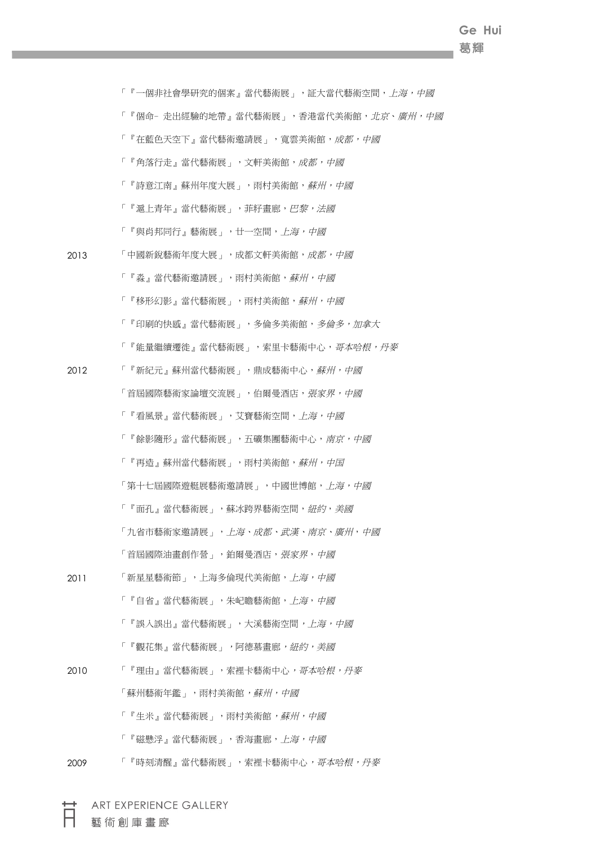# **Ge Hui** 葛輝

「『一個非社會學研究的個案』當代藝術展」,証大當代藝術空間,上海,中國 「『個命- 走出經驗的地帶』當代藝術展」,香港當代美術館,北京、廣州,中國 「『在藍色天空下』當代藝術邀請展」,寬雲美術館,成都,中國 「『角落行走』當代藝術展」,文軒美術館,成都,中國 「『詩意江南』蘇州年度大展」,雨村美術館,蘇州,中國 「『滬上青年』當代藝術展」,菲籽畫廊,巴黎,法國 「『與肖邦同行』藝術展」,廿一空間,上海,中國 2013 「中國新銳藝術年度大展」,成都文軒美術館,成都,中國 「『淼』當代藝術邀請展」,雨村美術館,蘇州,中國 「『移形幻影』當代藝術展」,雨村美術館,*蘇州,中國* 「『印刷的快感』當代藝術展」,多倫多美術館,多倫多,加拿大 「『能量繼續遷徙』當代藝術展」,索里卡藝術中心,哥本哈根,丹麥 2012 「『新紀元』蘇州當代藝術展」,鼎成藝術中心,蘇州,中國 「首屆國際藝術家論壇交流展」,伯爾曼酒店, 張家界, 中國 「『看風景』當代藝術展」,艾寶藝術空間,上海,中國 「『餘影隨形』當代藝術展」,五礦集團藝術中心,南京,中國 「『再造』蘇州當代藝術展」,雨村美術館,蘇州,中国 「第十七屆國際遊艇展藝術邀請展」,中國世博館,上海,中國 「『面孔』當代藝術展」,蘇冰跨界藝術空間,紐約,美國 「九省市藝術家邀請展」, 上海、成都、武漢、南京、廣州, 中國 「首屆國際油畫創作營」,鉑爾曼酒店, **張家界**, 中國 2011 「新星星藝術節」,上海多倫現代美術館,上海,中國 「『自省』當代藝術展」,朱屺瞻藝術館,上海,中國 「『誤入誤出』當代藝術展」,大溪藝術空間,上海,中國 「『觀花集』當代藝術展」,阿德慕畫廊,紐約,美國 2010 「『理由』當代藝術展」, 索裡卡藝術中心, 哥本哈根, 丹麥 「蘇州藝術年鑑」,雨村美術館,蘇州,中國 「『生米』當代藝術展」,雨村美術館,蘇州,中國 「『磁懸浮』當代藝術展」,香海畫廊,上海,中國 2009 「『時刻清醒』當代藝術展」,索裡卡藝術中心,哥本哈根,丹麥

ART EXPERIENCE GALLERY

藝術創庫畫廊